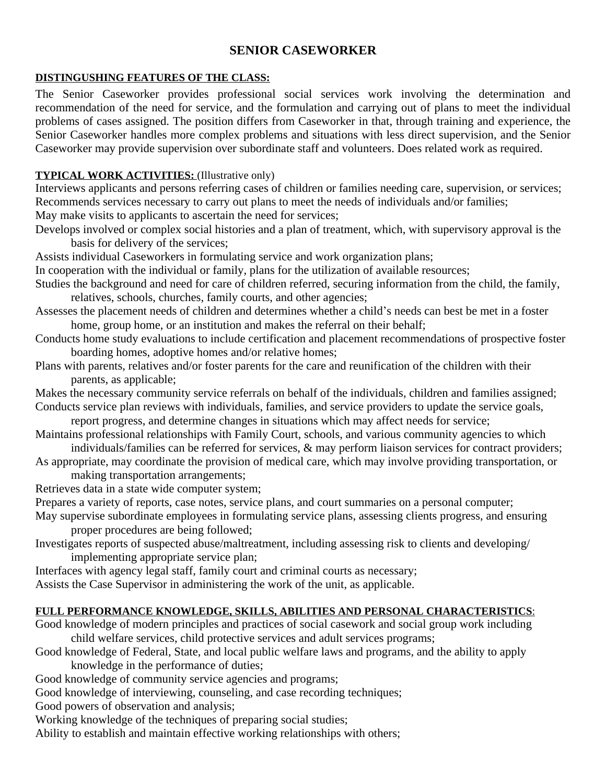# **SENIOR CASEWORKER**

#### **DISTINGUSHING FEATURES OF THE CLASS:**

The Senior Caseworker provides professional social services work involving the determination and recommendation of the need for service, and the formulation and carrying out of plans to meet the individual problems of cases assigned. The position differs from Caseworker in that, through training and experience, the Senior Caseworker handles more complex problems and situations with less direct supervision, and the Senior Caseworker may provide supervision over subordinate staff and volunteers. Does related work as required.

## **TYPICAL WORK ACTIVITIES:** (Illustrative only)

Interviews applicants and persons referring cases of children or families needing care, supervision, or services; Recommends services necessary to carry out plans to meet the needs of individuals and/or families; May make visits to applicants to ascertain the need for services;

Develops involved or complex social histories and a plan of treatment, which, with supervisory approval is the basis for delivery of the services;

Assists individual Caseworkers in formulating service and work organization plans;

In cooperation with the individual or family, plans for the utilization of available resources;

- Studies the background and need for care of children referred, securing information from the child, the family, relatives, schools, churches, family courts, and other agencies;
- Assesses the placement needs of children and determines whether a child's needs can best be met in a foster home, group home, or an institution and makes the referral on their behalf;
- Conducts home study evaluations to include certification and placement recommendations of prospective foster boarding homes, adoptive homes and/or relative homes;
- Plans with parents, relatives and/or foster parents for the care and reunification of the children with their parents, as applicable;
- Makes the necessary community service referrals on behalf of the individuals, children and families assigned; Conducts service plan reviews with individuals, families, and service providers to update the service goals,
- report progress, and determine changes in situations which may affect needs for service;
- Maintains professional relationships with Family Court, schools, and various community agencies to which individuals/families can be referred for services, & may perform liaison services for contract providers;
- As appropriate, may coordinate the provision of medical care, which may involve providing transportation, or making transportation arrangements;

Retrieves data in a state wide computer system;

Prepares a variety of reports, case notes, service plans, and court summaries on a personal computer;

May supervise subordinate employees in formulating service plans, assessing clients progress, and ensuring proper procedures are being followed;

- Investigates reports of suspected abuse/maltreatment, including assessing risk to clients and developing/ implementing appropriate service plan;
- Interfaces with agency legal staff, family court and criminal courts as necessary;

Assists the Case Supervisor in administering the work of the unit, as applicable.

### **FULL PERFORMANCE KNOWLEDGE, SKILLS, ABILITIES AND PERSONAL CHARACTERISTICS**:

Good knowledge of modern principles and practices of social casework and social group work including child welfare services, child protective services and adult services programs;

Good knowledge of Federal, State, and local public welfare laws and programs, and the ability to apply knowledge in the performance of duties;

Good knowledge of community service agencies and programs;

Good knowledge of interviewing, counseling, and case recording techniques;

Good powers of observation and analysis;

Working knowledge of the techniques of preparing social studies;

Ability to establish and maintain effective working relationships with others;